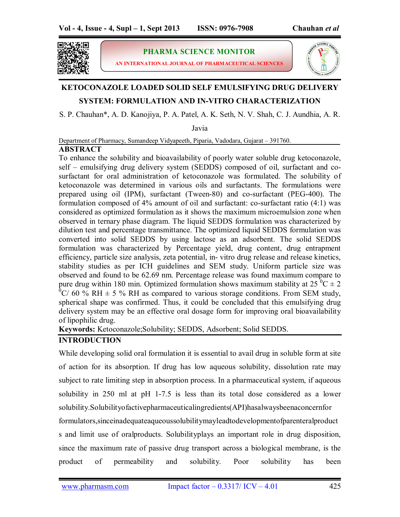

**PHARMA SCIENCE MONITOR**

**AN INTERNATIONAL JOURNAL OF PHARMACEUTICAL SCIENCES**



# **KETOCONAZOLE LOADED SOLID SELF EMULSIFYING DRUG DELIVERY**

## **SYSTEM: FORMULATION AND IN-VITRO CHARACTERIZATION**

S. P. Chauhan\*, A. D. Kanojiya, P. A. Patel, A. K. Seth, N. V. Shah, C. J. Aundhia, A. R.

Javia

Department of Pharmacy, Sumandeep Vidyapeeth, Piparia, Vadodara, Gujarat – 391760.

## **ABSTRACT**

To enhance the solubility and bioavailability of poorly water soluble drug ketoconazole, self – emulsifying drug delivery system (SEDDS) composed of oil, surfactant and cosurfactant for oral administration of ketoconazole was formulated. The solubility of ketoconazole was determined in various oils and surfactants. The formulations were prepared using oil (IPM), surfactant (Tween-80) and co-surfactant (PEG-400). The formulation composed of 4% amount of oil and surfactant: co-surfactant ratio (4:1) was considered as optimized formulation as it shows the maximum microemulsion zone when observed in ternary phase diagram. The liquid SEDDS formulation was characterized by dilution test and percentage transmittance. The optimized liquid SEDDS formulation was converted into solid SEDDS by using lactose as an adsorbent. The solid SEDDS formulation was characterized by Percentage yield, drug content, drug entrapment efficiency, particle size analysis, zeta potential, in- vitro drug release and release kinetics, stability studies as per ICH guidelines and SEM study. Uniform particle size was observed and found to be 62.69 nm. Percentage release was found maximum compare to pure drug within 180 min. Optimized formulation shows maximum stability at  $25^{\degree}C \pm 2$  $\overline{0}$ C/ 60 % RH  $\pm$  5 % RH as compared to various storage conditions. From SEM study, spherical shape was confirmed. Thus, it could be concluded that this emulsifying drug delivery system may be an effective oral dosage form for improving oral bioavailability of lipophilic drug.

**Keywords:** Ketoconazole;Solubility; SEDDS, Adsorbent; Solid SEDDS.

## **INTRODUCTION**

While developing solid oral formulation it is essential to avail drug in soluble form at site of action for its absorption. If drug has low aqueous solubility, dissolution rate may subject to rate limiting step in absorption process. In a pharmaceutical system, if aqueous solubility in 250 ml at pH 1-7.5 is less than its total dose considered as a lower solubility.Solubilityofactivepharmaceuticalingredients(API)hasalwaysbeenaconcernfor

formulators,sinceinadequateaqueoussolubilitymayleadtodevelopmentofparenteralproduct s and limit use of oralproducts. Solubilityplays an important role in drug disposition, since the maximum rate of passive drug transport across a biological membrane, is the product of permeability and solubility. Poor solubility has been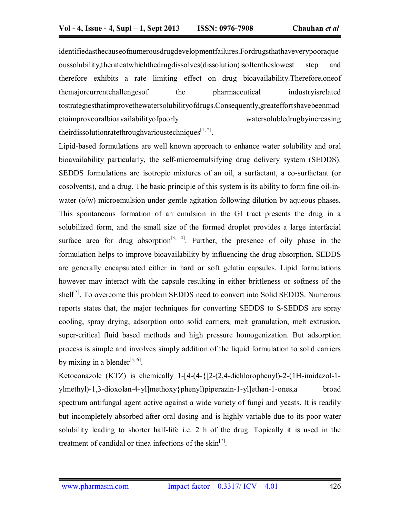identifiedasthecauseofnumerousdrugdevelopmentfailures.Fordrugsthathaveverypooraque oussolubility,therateatwhichthedrugdissolves(dissolution)isoftentheslowest step and therefore exhibits a rate limiting effect on drug bioavailability.Therefore,oneof themajorcurrentchallengesof the pharmaceutical industryisrelated tostrategiesthatimprovethewatersolubilityofdrugs.Consequently,greateffortshavebeenmad etoimproveoralbioavailabilityofpoorly watersolubledrugbyincreasing theirdissolutionratethroughvarioustechniques $^{[1, 2]}$ .

Lipid-based formulations are well known approach to enhance water solubility and oral bioavailability particularly, the self-microemulsifying drug delivery system (SEDDS). SEDDS formulations are isotropic mixtures of an oil, a surfactant, a co-surfactant (or cosolvents), and a drug. The basic principle of this system is its ability to form fine oil-inwater (o/w) microemulsion under gentle agitation following dilution by aqueous phases. This spontaneous formation of an emulsion in the GI tract presents the drug in a solubilized form, and the small size of the formed droplet provides a large interfacial surface area for drug absorption<sup>[3, 4]</sup>. Further, the presence of oily phase in the formulation helps to improve bioavailability by influencing the drug absorption. SEDDS are generally encapsulated either in hard or soft gelatin capsules. Lipid formulations however may interact with the capsule resulting in either brittleness or softness of the shell<sup>[5]</sup>. To overcome this problem SEDDS need to convert into Solid SEDDS. Numerous reports states that, the major techniques for converting SEDDS to S-SEDDS are spray cooling, spray drying, adsorption onto solid carriers, melt granulation, melt extrusion, super-critical fluid based methods and high pressure homogenization. But adsorption process is simple and involves simply addition of the liquid formulation to solid carriers by mixing in a blender<sup>[5, 6]</sup>.

Ketoconazole (KTZ) is chemically 1-[4-(4-{[2-(2,4-dichlorophenyl)-2-(1H-imidazol-1 ylmethyl)-1,3-dioxolan-4-yl]methoxy}phenyl)piperazin-1-yl]ethan-1-ones,a broad spectrum antifungal agent active against a wide variety of fungi and yeasts. It is readily but incompletely absorbed after oral dosing and is highly variable due to its poor water solubility leading to shorter half-life i.e. 2 h of the drug. Topically it is used in the treatment of candidal or tinea infections of the skin<sup>[7]</sup>.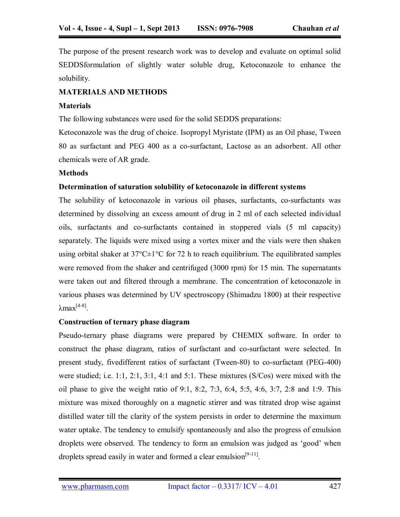The purpose of the present research work was to develop and evaluate on optimal solid SEDDSformulation of slightly water soluble drug, Ketoconazole to enhance the solubility.

#### **MATERIALS AND METHODS**

#### **Materials**

The following substances were used for the solid SEDDS preparations:

Ketoconazole was the drug of choice. Isopropyl Myristate (IPM) as an Oil phase, Tween 80 as surfactant and PEG 400 as a co-surfactant, Lactose as an adsorbent. All other chemicals were of AR grade.

#### **Methods**

#### **Determination of saturation solubility of ketoconazole in different systems**

The solubility of ketoconazole in various oil phases, surfactants, co-surfactants was determined by dissolving an excess amount of drug in 2 ml of each selected individual oils, surfactants and co-surfactants contained in stoppered vials (5 ml capacity) separately. The liquids were mixed using a vortex mixer and the vials were then shaken using orbital shaker at  $37^{\circ}$ C $\pm$ 1°C for 72 h to reach equilibrium. The equilibrated samples were removed from the shaker and centrifuged (3000 rpm) for 15 min. The supernatants were taken out and filtered through a membrane. The concentration of ketoconazole in various phases was determined by UV spectroscopy (Shimadzu 1800) at their respective  $λ$ max<sup>[4-8]</sup>.

#### **Construction of ternary phase diagram**

Pseudo-ternary phase diagrams were prepared by CHEMIX software. In order to construct the phase diagram, ratios of surfactant and co-surfactant were selected. In present study, fivedifferent ratios of surfactant (Tween-80) to co-surfactant (PEG-400) were studied; i.e. 1:1, 2:1, 3:1, 4:1 and 5:1. These mixtures (S/Cos) were mixed with the oil phase to give the weight ratio of 9:1, 8:2, 7:3, 6:4, 5:5, 4:6, 3:7, 2:8 and 1:9. This mixture was mixed thoroughly on a magnetic stirrer and was titrated drop wise against distilled water till the clarity of the system persists in order to determine the maximum water uptake. The tendency to emulsify spontaneously and also the progress of emulsion droplets were observed. The tendency to form an emulsion was judged as 'good' when droplets spread easily in water and formed a clear emulsion $[9-11]$ .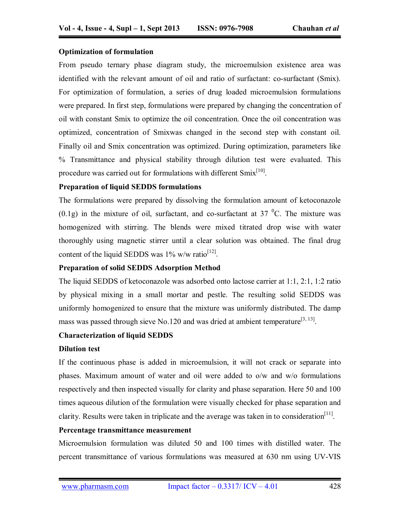## **Optimization of formulation**

From pseudo ternary phase diagram study, the microemulsion existence area was identified with the relevant amount of oil and ratio of surfactant: co-surfactant (Smix). For optimization of formulation, a series of drug loaded microemulsion formulations were prepared. In first step, formulations were prepared by changing the concentration of oil with constant Smix to optimize the oil concentration. Once the oil concentration was optimized, concentration of Smixwas changed in the second step with constant oil. Finally oil and Smix concentration was optimized. During optimization, parameters like % Transmittance and physical stability through dilution test were evaluated. This procedure was carried out for formulations with different  $Smix^{[10]}$ .

## **Preparation of liquid SEDDS formulations**

The formulations were prepared by dissolving the formulation amount of ketoconazole  $(0.1g)$  in the mixture of oil, surfactant, and co-surfactant at 37 <sup>o</sup>C. The mixture was homogenized with stirring. The blends were mixed titrated drop wise with water thoroughly using magnetic stirrer until a clear solution was obtained. The final drug content of the liquid SEDDS was  $1\%$  w/w ratio<sup>[12]</sup>.

## **Preparation of solid SEDDS Adsorption Method**

The liquid SEDDS of ketoconazole was adsorbed onto lactose carrier at 1:1, 2:1, 1:2 ratio by physical mixing in a small mortar and pestle. The resulting solid SEDDS was uniformly homogenized to ensure that the mixture was uniformly distributed. The damp mass was passed through sieve No.120 and was dried at ambient temperature<sup>[3, 13]</sup>.

## **Characterization of liquid SEDDS**

## **Dilution test**

If the continuous phase is added in microemulsion, it will not crack or separate into phases. Maximum amount of water and oil were added to o/w and w/o formulations respectively and then inspected visually for clarity and phase separation. Here 50 and 100 times aqueous dilution of the formulation were visually checked for phase separation and clarity. Results were taken in triplicate and the average was taken in to consideration<sup>[11]</sup>.

## **Percentage transmittance measurement**

Microemulsion formulation was diluted 50 and 100 times with distilled water. The percent transmittance of various formulations was measured at 630 nm using UV-VIS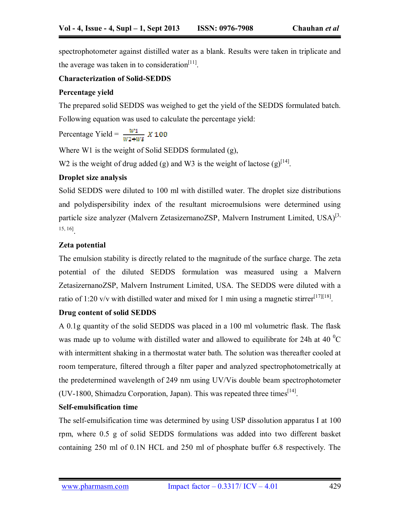spectrophotometer against distilled water as a blank. Results were taken in triplicate and the average was taken in to consideration<sup>[11]</sup>.

## **Characterization of Solid-SEDDS**

## **Percentage yield**

The prepared solid SEDDS was weighed to get the yield of the SEDDS formulated batch. Following equation was used to calculate the percentage yield:

Percentage Yield =  $\frac{W1}{W7 + W8} X 100$ 

Where W1 is the weight of Solid SEDDS formulated (g),

W2 is the weight of drug added (g) and W3 is the weight of lactose (g)<sup>[14]</sup>.

## **Droplet size analysis**

Solid SEDDS were diluted to 100 ml with distilled water. The droplet size distributions and polydispersibility index of the resultant microemulsions were determined using particle size analyzer (Malvern ZetasizernanoZSP, Malvern Instrument Limited, USA)<sup>[3,</sup> 15, 16].

## **Zeta potential**

The emulsion stability is directly related to the magnitude of the surface charge. The zeta potential of the diluted SEDDS formulation was measured using a Malvern ZetasizernanoZSP, Malvern Instrument Limited, USA. The SEDDS were diluted with a ratio of 1:20 v/v with distilled water and mixed for 1 min using a magnetic stirrer<sup>[17][18]</sup>.

## **Drug content of solid SEDDS**

A 0.1g quantity of the solid SEDDS was placed in a 100 ml volumetric flask. The flask was made up to volume with distilled water and allowed to equilibrate for 24h at 40  $^{0}$ C with intermittent shaking in a thermostat water bath. The solution was thereafter cooled at room temperature, filtered through a filter paper and analyzed spectrophotometrically at the predetermined wavelength of 249 nm using UV/Vis double beam spectrophotometer (UV-1800, Shimadzu Corporation, Japan). This was repeated three times  $[14]$ .

## **Self-emulsification time**

The self-emulsification time was determined by using USP dissolution apparatus I at 100 rpm, where 0.5 g of solid SEDDS formulations was added into two different basket containing 250 ml of 0.1N HCL and 250 ml of phosphate buffer 6.8 respectively. The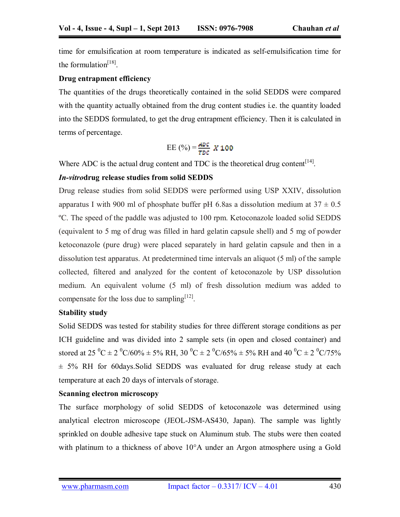time for emulsification at room temperature is indicated as self-emulsification time for the formulation $^{[18]}$ .

## **Drug entrapment efficiency**

The quantities of the drugs theoretically contained in the solid SEDDS were compared with the quantity actually obtained from the drug content studies i.e. the quantity loaded into the SEDDS formulated, to get the drug entrapment efficiency. Then it is calculated in terms of percentage.

$$
EE(%) = \frac{ADC}{TDC} X 100
$$

Where ADC is the actual drug content and TDC is the theoretical drug content<sup>[14]</sup>.

## *In-vitro***drug release studies from solid SEDDS**

Drug release studies from solid SEDDS were performed using USP XXIV, dissolution apparatus I with 900 ml of phosphate buffer pH 6.8as a dissolution medium at  $37 \pm 0.5$ ºC. The speed of the paddle was adjusted to 100 rpm. Ketoconazole loaded solid SEDDS (equivalent to 5 mg of drug was filled in hard gelatin capsule shell) and 5 mg of powder ketoconazole (pure drug) were placed separately in hard gelatin capsule and then in a dissolution test apparatus. At predetermined time intervals an aliquot (5 ml) of the sample collected, filtered and analyzed for the content of ketoconazole by USP dissolution medium. An equivalent volume (5 ml) of fresh dissolution medium was added to compensate for the loss due to sampling<sup>[12]</sup>.

## **Stability study**

Solid SEDDS was tested for stability studies for three different storage conditions as per ICH guideline and was divided into 2 sample sets (in open and closed container) and stored at 25 <sup>0</sup>C  $\pm$  2 <sup>0</sup>C/60%  $\pm$  5% RH, 30 <sup>0</sup>C  $\pm$  2 <sup>0</sup>C/65%  $\pm$  5% RH and 40 <sup>0</sup>C  $\pm$  2 <sup>0</sup>C/75%  $\pm$  5% RH for 60 days. Solid SEDDS was evaluated for drug release study at each temperature at each 20 days of intervals of storage.

## **Scanning electron microscopy**

 The surface morphology of solid SEDDS of ketoconazole was determined using analytical electron microscope (JEOL-JSM-AS430, Japan). The sample was lightly sprinkled on double adhesive tape stuck on Aluminum stub. The stubs were then coated with platinum to a thickness of above 10<sup>o</sup>A under an Argon atmosphere using a Gold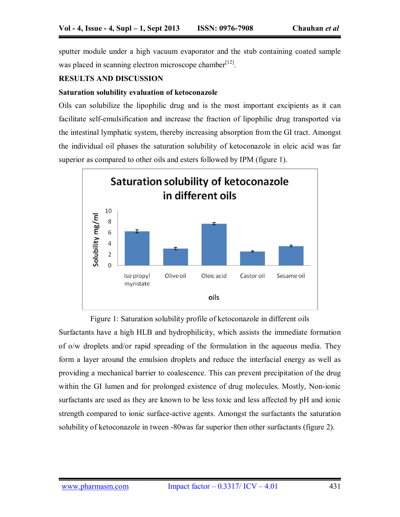sputter module under a high vacuum evaporator and the stub containing coated sample was placed in scanning electron microscope chamber<sup>[12]</sup>.

#### **RESULTS AND DISCUSSION**

#### **Saturation solubility evaluation of ketoconazole**

Oils can solubilize the lipophilic drug and is the most important excipients as it can facilitate self-emulsification and increase the fraction of lipophilic drug transported via the intestinal lymphatic system, thereby increasing absorption from the GI tract. Amongst the individual oil phases the saturation solubility of ketoconazole in oleic acid was far superior as compared to other oils and esters followed by IPM (figure 1).



Figure 1: Saturation solubility profile of ketoconazole in different oils Surfactants have a high HLB and hydrophilicity, which assists the immediate formation of o/w droplets and/or rapid spreading of the formulation in the aqueous media. They form a layer around the emulsion droplets and reduce the interfacial energy as well as providing a mechanical barrier to coalescence. This can prevent precipitation of the drug within the GI lumen and for prolonged existence of drug molecules. Mostly, Non-ionic surfactants are used as they are known to be less toxic and less affected by pH and ionic strength compared to ionic surface-active agents. Amongst the surfactants the saturation solubility of ketoconazole in tween -80was far superior then other surfactants (figure 2).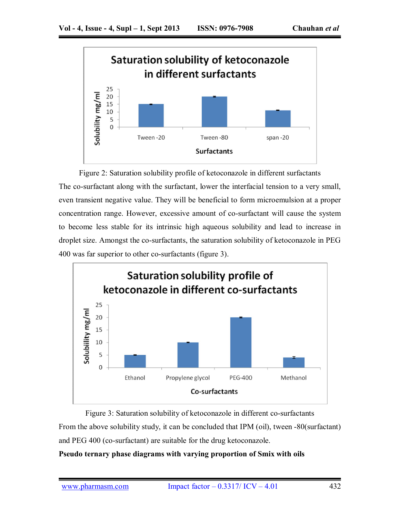

Figure 2: Saturation solubility profile of ketoconazole in different surfactants The co-surfactant along with the surfactant, lower the interfacial tension to a very small, even transient negative value. They will be beneficial to form microemulsion at a proper concentration range. However, excessive amount of co-surfactant will cause the system to become less stable for its intrinsic high aqueous solubility and lead to increase in droplet size. Amongst the co-surfactants, the saturation solubility of ketoconazole in PEG 400 was far superior to other co-surfactants (figure 3).



Figure 3: Saturation solubility of ketoconazole in different co-surfactants From the above solubility study, it can be concluded that IPM (oil), tween -80(surfactant) and PEG 400 (co-surfactant) are suitable for the drug ketoconazole.

## **Pseudo ternary phase diagrams with varying proportion of Smix with oils**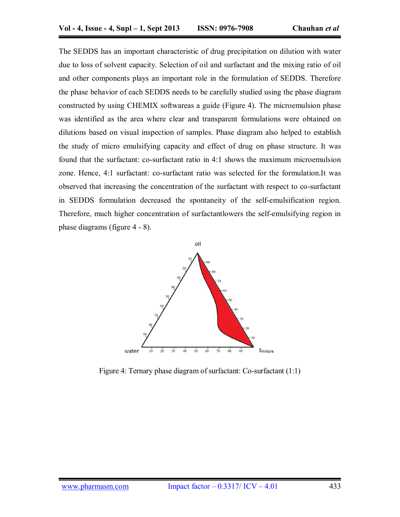The SEDDS has an important characteristic of drug precipitation on dilution with water due to loss of solvent capacity. Selection of oil and surfactant and the mixing ratio of oil and other components plays an important role in the formulation of SEDDS. Therefore the phase behavior of each SEDDS needs to be carefully studied using the phase diagram constructed by using CHEMIX softwareas a guide (Figure 4). The microemulsion phase was identified as the area where clear and transparent formulations were obtained on dilutions based on visual inspection of samples. Phase diagram also helped to establish the study of micro emulsifying capacity and effect of drug on phase structure. It was found that the surfactant: co-surfactant ratio in 4:1 shows the maximum microemulsion zone. Hence, 4:1 surfactant: co-surfactant ratio was selected for the formulation.It was observed that increasing the concentration of the surfactant with respect to co-surfactant in SEDDS formulation decreased the spontaneity of the self-emulsification region. Therefore, much higher concentration of surfactantlowers the self-emulsifying region in phase diagrams (figure 4 - 8).



Figure 4: Ternary phase diagram of surfactant: Co-surfactant (1:1)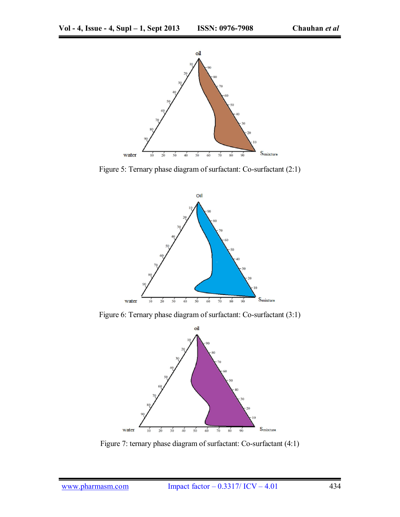

Figure 5: Ternary phase diagram of surfactant: Co-surfactant (2:1)



Figure 6: Ternary phase diagram of surfactant: Co-surfactant (3:1)



Figure 7: ternary phase diagram of surfactant: Co-surfactant (4:1)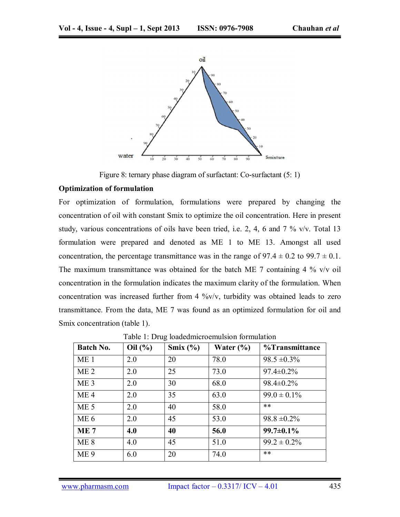

Figure 8: ternary phase diagram of surfactant: Co-surfactant (5: 1)

#### **Optimization of formulation**

For optimization of formulation, formulations were prepared by changing the concentration of oil with constant Smix to optimize the oil concentration. Here in present study, various concentrations of oils have been tried, i.e. 2, 4, 6 and 7 % v/v. Total 13 formulation were prepared and denoted as ME 1 to ME 13. Amongst all used concentration, the percentage transmittance was in the range of  $97.4 \pm 0.2$  to  $99.7 \pm 0.1$ . The maximum transmittance was obtained for the batch ME 7 containing 4  $\%$  v/v oil concentration in the formulation indicates the maximum clarity of the formulation. When concentration was increased further from 4  $\%$ v/v, turbidity was obtained leads to zero transmittance. From the data, ME 7 was found as an optimized formulation for oil and Smix concentration (table 1).

| <b>Batch No.</b> | Oil(%) | Smix $(\% )$ | Water $(\% )$ | %Transmittance   |
|------------------|--------|--------------|---------------|------------------|
| ME <sub>1</sub>  | 2.0    | 20           | 78.0          | $98.5 \pm 0.3\%$ |
| ME <sub>2</sub>  | 2.0    | 25           | 73.0          | $97.4 \pm 0.2\%$ |
| ME <sub>3</sub>  | 2.0    | 30           | 68.0          | $98.4 \pm 0.2\%$ |
| ME <sub>4</sub>  | 2.0    | 35           | 63.0          | $99.0 \pm 0.1\%$ |
| ME <sub>5</sub>  | 2.0    | 40           | 58.0          | **               |
| ME <sub>6</sub>  | 2.0    | 45           | 53.0          | $98.8 \pm 0.2\%$ |
| ME <sub>7</sub>  | 4.0    | 40           | 56.0          | $99.7 \pm 0.1\%$ |
| ME 8             | 4.0    | 45           | 51.0          | $99.2 \pm 0.2\%$ |
| ME <sub>9</sub>  | 6.0    | 20           | 74.0          | **               |

Table 1: Drug loadedmicroemulsion formulation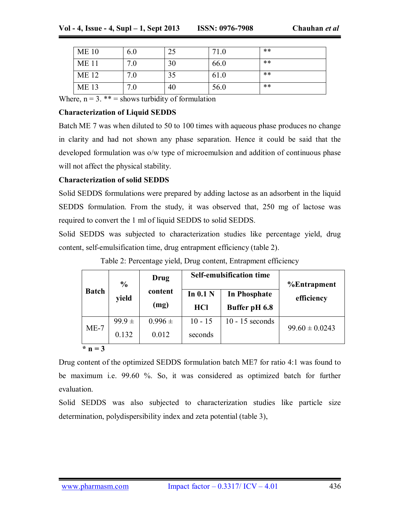| <b>ME 10</b> | 6.0 | 25 | 71.0 | **    |
|--------------|-----|----|------|-------|
| <b>ME11</b>  | 7.0 | 30 | 66.0 | $***$ |
| <b>ME12</b>  | 7.0 |    | 61.0 | $***$ |
| <b>ME13</b>  | 7.0 | 40 | 56.0 | $***$ |

Where,  $n = 3$ . \*\* = shows turbidity of formulation

## **Characterization of Liquid SEDDS**

Batch ME 7 was when diluted to 50 to 100 times with aqueous phase produces no change in clarity and had not shown any phase separation. Hence it could be said that the developed formulation was o/w type of microemulsion and addition of continuous phase will not affect the physical stability.

## **Characterization of solid SEDDS**

Solid SEDDS formulations were prepared by adding lactose as an adsorbent in the liquid SEDDS formulation. From the study, it was observed that, 250 mg of lactose was required to convert the 1 ml of liquid SEDDS to solid SEDDS.

Solid SEDDS was subjected to characterization studies like percentage yield, drug content, self-emulsification time, drug entrapment efficiency (table 2).

|                          | $\frac{6}{6}$ | Drug        | <b>Self-emulsification time</b> |                     | <b>%Entrapment</b> |
|--------------------------|---------------|-------------|---------------------------------|---------------------|--------------------|
| <b>Batch</b>             | yield         | content     | In $0.1$ N                      | <b>In Phosphate</b> | efficiency         |
|                          |               | (mg)        | <b>HCl</b>                      | Buffer pH 6.8       |                    |
| $ME-7$                   | $99.9 \pm$    | $0.996 \pm$ | $10 - 15$                       | $10 - 15$ seconds   | $99.60 \pm 0.0243$ |
|                          | 0.132         | 0.012       | seconds                         |                     |                    |
| $\mathbf{\hat{r}}$ n = 3 |               |             |                                 |                     |                    |

Table 2: Percentage yield, Drug content, Entrapment efficiency

Drug content of the optimized SEDDS formulation batch ME7 for ratio 4:1 was found to be maximum i.e. 99.60 %. So, it was considered as optimized batch for further evaluation.

Solid SEDDS was also subjected to characterization studies like particle size determination, polydispersibility index and zeta potential (table 3),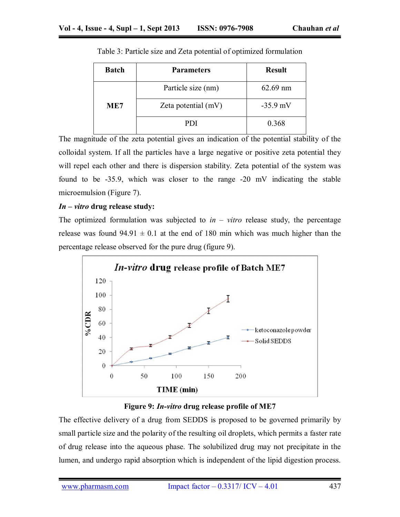| <b>Batch</b> | <b>Parameters</b>   | <b>Result</b> |
|--------------|---------------------|---------------|
|              | Particle size (nm)  | $62.69$ nm    |
| ME7          | Zeta potential (mV) | $-35.9$ mV    |
|              | PDI                 | 0.368         |

Table 3: Particle size and Zeta potential of optimized formulation

The magnitude of the zeta potential gives an indication of the potential stability of the colloidal system. If all the particles have a large negative or positive zeta potential they will repel each other and there is dispersion stability. Zeta potential of the system was found to be -35.9, which was closer to the range -20 mV indicating the stable microemulsion (Figure 7).

## *In – vitro* **drug release study:**

The optimized formulation was subjected to  $in - vitro$  release study, the percentage release was found  $94.91 \pm 0.1$  at the end of 180 min which was much higher than the percentage release observed for the pure drug (figure 9).



## **Figure 9:** *In-vitro* **drug release profile of ME7**

The effective delivery of a drug from SEDDS is proposed to be governed primarily by small particle size and the polarity of the resulting oil droplets, which permits a faster rate of drug release into the aqueous phase. The solubilized drug may not precipitate in the lumen, and undergo rapid absorption which is independent of the lipid digestion process.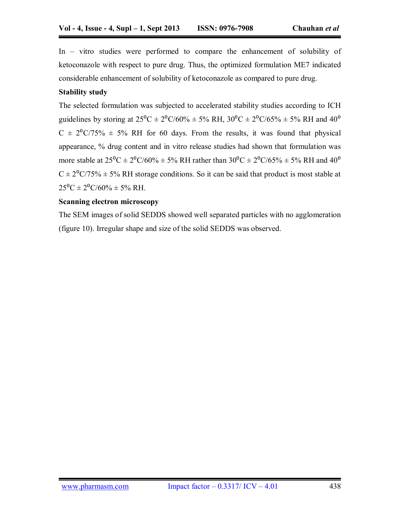In – vitro studies were performed to compare the enhancement of solubility of ketoconazole with respect to pure drug. Thus, the optimized formulation ME7 indicated considerable enhancement of solubility of ketoconazole as compared to pure drug.

## **Stability study**

The selected formulation was subjected to accelerated stability studies according to ICH guidelines by storing at  $25^{\circ}\text{C} \pm 2^{\circ}\text{C}/60\% \pm 5\% \text{ RH}$ ,  $30^{\circ}\text{C} \pm 2^{\circ}\text{C}/65\% \pm 5\% \text{ RH}$  and  $40^{\circ}$  $C \pm 2^{0}C/75\% \pm 5\%$  RH for 60 days. From the results, it was found that physical appearance, % drug content and in vitro release studies had shown that formulation was more stable at  $25^{\circ}C \pm 2^{\circ}C/60\% \pm 5\%$  RH rather than  $30^{\circ}C \pm 2^{\circ}C/65\% \pm 5\%$  RH and  $40^{\circ}$  $C \pm 2^{0}C/75\% \pm 5\%$  RH storage conditions. So it can be said that product is most stable at  $25^{\circ}$ C  $\pm$  2<sup>o</sup>C/60%  $\pm$  5% RH.

## **Scanning electron microscopy**

The SEM images of solid SEDDS showed well separated particles with no agglomeration (figure 10). Irregular shape and size of the solid SEDDS was observed.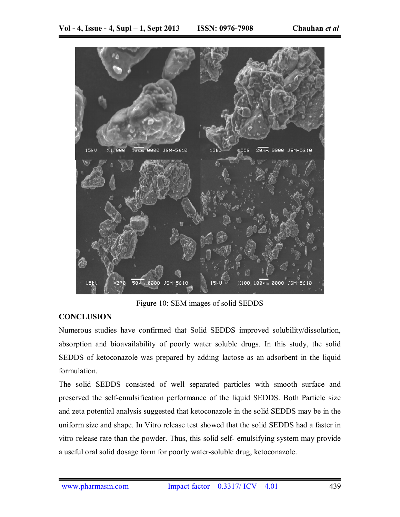

Figure 10: SEM images of solid SEDDS

## **CONCLUSION**

Numerous studies have confirmed that Solid SEDDS improved solubility/dissolution, absorption and bioavailability of poorly water soluble drugs. In this study, the solid SEDDS of ketoconazole was prepared by adding lactose as an adsorbent in the liquid formulation.

The solid SEDDS consisted of well separated particles with smooth surface and preserved the self-emulsification performance of the liquid SEDDS. Both Particle size and zeta potential analysis suggested that ketoconazole in the solid SEDDS may be in the uniform size and shape. In Vitro release test showed that the solid SEDDS had a faster in vitro release rate than the powder. Thus, this solid self- emulsifying system may provide a useful oral solid dosage form for poorly water-soluble drug, ketoconazole.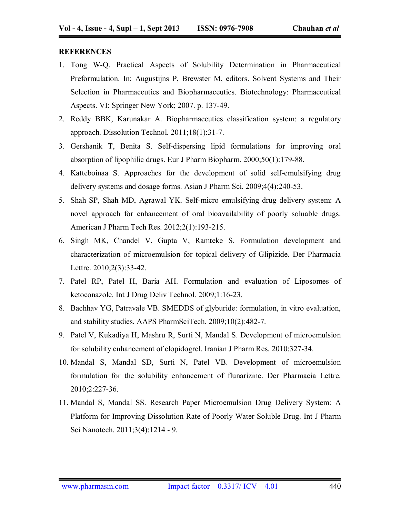#### **REFERENCES**

- 1. Tong W-Q. Practical Aspects of Solubility Determination in Pharmaceutical Preformulation. In: Augustijns P, Brewster M, editors. Solvent Systems and Their Selection in Pharmaceutics and Biopharmaceutics. Biotechnology: Pharmaceutical Aspects. VI: Springer New York; 2007. p. 137-49.
- 2. Reddy BBK, Karunakar A. Biopharmaceutics classification system: a regulatory approach. Dissolution Technol. 2011;18(1):31-7.
- 3. Gershanik T, Benita S. Self-dispersing lipid formulations for improving oral absorption of lipophilic drugs. Eur J Pharm Biopharm. 2000;50(1):179-88.
- 4. Katteboinaa S. Approaches for the development of solid self-emulsifying drug delivery systems and dosage forms. Asian J Pharm Sci. 2009;4(4):240-53.
- 5. Shah SP, Shah MD, Agrawal YK. Self-micro emulsifying drug delivery system: A novel approach for enhancement of oral bioavailability of poorly soluable drugs. American J Pharm Tech Res. 2012;2(1):193-215.
- 6. Singh MK, Chandel V, Gupta V, Ramteke S. Formulation development and characterization of microemulsion for topical delivery of Glipizide. Der Pharmacia Lettre. 2010;2(3):33-42.
- 7. Patel RP, Patel H, Baria AH. Formulation and evaluation of Liposomes of ketoconazole. Int J Drug Deliv Technol. 2009;1:16-23.
- 8. Bachhav YG, Patravale VB. SMEDDS of glyburide: formulation, in vitro evaluation, and stability studies. AAPS PharmSciTech. 2009;10(2):482-7.
- 9. Patel V, Kukadiya H, Mashru R, Surti N, Mandal S. Development of microemulsion for solubility enhancement of clopidogrel. Iranian J Pharm Res. 2010:327-34.
- 10. Mandal S, Mandal SD, Surti N, Patel VB. Development of microemulsion formulation for the solubility enhancement of flunarizine. Der Pharmacia Lettre. 2010;2:227-36.
- 11. Mandal S, Mandal SS. Research Paper Microemulsion Drug Delivery System: A Platform for Improving Dissolution Rate of Poorly Water Soluble Drug. Int J Pharm Sci Nanotech. 2011;3(4):1214 - 9.